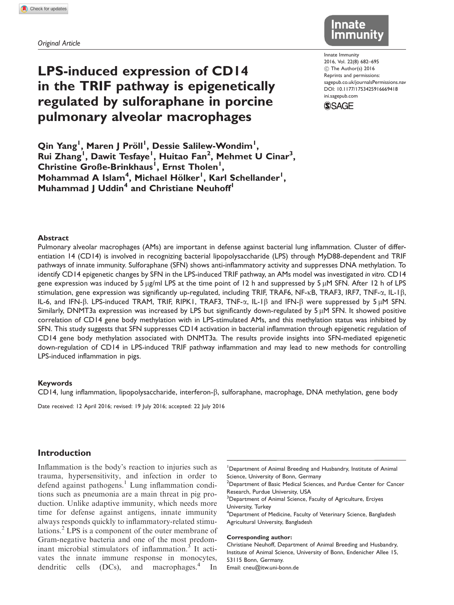Original Article

# LPS-induced expression of CD14 in the TRIF pathway is epigenetically regulated by sulforaphane in porcine pulmonary alveolar macrophages



Innate Immunity 2016, Vol. 22(8) 682–695 C The Author(s) 2016 Reprints and permissions: sagepub.co.uk/journalsPermissions.nav DOI: 10.1177/1753425916669418 ini.sagepub.com



Qin Yang<sup>ı</sup>, Maren J Pröll<sup>i</sup>, Dessie Salilew-Wondim<sup>ı</sup>, Rui Zhang<sup>1</sup>, Dawit Tesfaye<sup>1</sup>, Huitao Fan<sup>2</sup>, Mehmet U Cinar<sup>3</sup>, Christine Große-Brinkhaus<sup>1</sup>, Ernst Tholen<sup>1</sup>, Mohammad A Islam<sup>4</sup>, Michael Hölker<sup>l</sup>, Karl Schellander<sup>l</sup>, Muhammad J Uddin<sup>4</sup> and Christiane Neuhoff<sup>1</sup>

#### Abstract

Pulmonary alveolar macrophages (AMs) are important in defense against bacterial lung inflammation. Cluster of differentiation 14 (CD14) is involved in recognizing bacterial lipopolysaccharide (LPS) through MyD88-dependent and TRIF pathways of innate immunity. Sulforaphane (SFN) shows anti-inflammatory activity and suppresses DNA methylation. To identify CD14 epigenetic changes by SFN in the LPS-induced TRIF pathway, an AMs model was investigated in vitro. CD14 gene expression was induced by 5  $\mu$ g/ml LPS at the time point of 12 h and suppressed by 5  $\mu$ M SFN. After 12 h of LPS stimulation, gene expression was significantly up-regulated, including TRIF, TRAF6, NF- $\kappa$ B, TRAF3, IRF7, TNF- $\alpha$ , IL-1 $\beta$ , IL-6, and IFN- $\beta$ . LPS-induced TRAM, TRIF, RIPK1, TRAF3, TNF- $\alpha$ , IL-1 $\beta$  and IFN- $\beta$  were suppressed by 5  $\mu$ M SFN. Similarly, DNMT3a expression was increased by LPS but significantly down-regulated by  $5 \mu$ M SFN. It showed positive correlation of CD14 gene body methylation with in LPS-stimulated AMs, and this methylation status was inhibited by SFN. This study suggests that SFN suppresses CD14 activation in bacterial inflammation through epigenetic regulation of CD14 gene body methylation associated with DNMT3a. The results provide insights into SFN-mediated epigenetic down-regulation of CD14 in LPS-induced TRIF pathway inflammation and may lead to new methods for controlling LPS-induced inflammation in pigs.

#### Keywords

 $CD14$ , lung inflammation, lipopolysaccharide, interferon- $\beta$ , sulforaphane, macrophage, DNA methylation, gene body

Date received: 12 April 2016; revised: 19 July 2016; accepted: 22 July 2016

## Introduction

Inflammation is the body's reaction to injuries such as trauma, hypersensitivity, and infection in order to defend against pathogens.<sup>1</sup> Lung inflammation conditions such as pneumonia are a main threat in pig production. Unlike adaptive immunity, which needs more time for defense against antigens, innate immunity always responds quickly to inflammatory-related stimulations.<sup>2</sup> LPS is a component of the outer membrane of Gram-negative bacteria and one of the most predominant microbial stimulators of inflammation.<sup>3</sup> It activates the innate immune response in monocytes, dendritic cells  $(DCs)$ , and macrophages.<sup>4</sup> In

 $2$ Department of Basic Medical Sciences, and Purdue Center for Cancer Research, Purdue University, USA

<sup>3</sup>Department of Animal Science, Faculty of Agriculture, Erciyes

University, Turkey

#### Corresponding author:

Christiane Neuhoff, Department of Animal Breeding and Husbandry, Institute of Animal Science, University of Bonn, Endenicher Allee 15, 53115 Bonn, Germany. Email: cneu@itw.uni-bonn.de

<sup>&</sup>lt;sup>1</sup>Department of Animal Breeding and Husbandry, Institute of Animal Science, University of Bonn, Germany

<sup>&</sup>lt;sup>4</sup>Department of Medicine, Faculty of Veterinary Science, Bangladesh Agricultural University, Bangladesh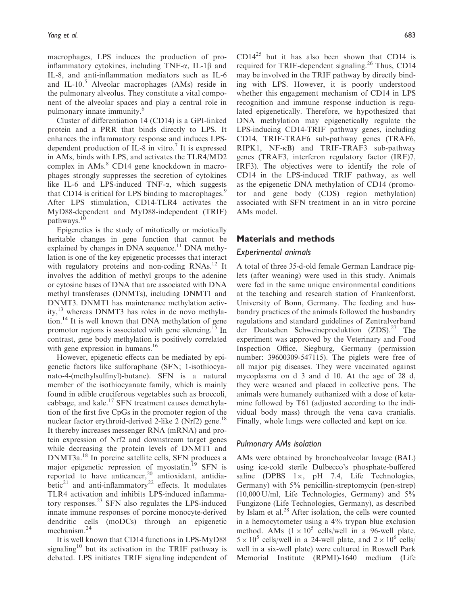macrophages, LPS induces the production of proinflammatory cytokines, including  $TNF-\alpha$ , IL-1 $\beta$  and IL-8, and anti-inflammation mediators such as IL-6 and IL-10.<sup>5</sup> Alveolar macrophages (AMs) reside in the pulmonary alveolus. They constitute a vital component of the alveolar spaces and play a central role in pulmonary innate immunity.<sup>6</sup>

Cluster of differentiation 14 (CD14) is a GPI-linked protein and a PRR that binds directly to LPS. It enhances the inflammatory response and induces LPSdependent production of IL-8 in vitro.<sup>7</sup> It is expressed in AMs, binds with LPS, and activates the TLR4/MD2 complex in AMs.<sup>8</sup> CD14 gene knockdown in macrophages strongly suppresses the secretion of cytokines like IL-6 and LPS-induced TNF- $\alpha$ , which suggests that CD14 is critical for LPS binding to macrophages.<sup>9</sup> After LPS stimulation, CD14-TLR4 activates the MyD88-dependent and MyD88-independent (TRIF) pathways.<sup>10</sup>

Epigenetics is the study of mitotically or meiotically heritable changes in gene function that cannot be explained by changes in DNA sequence.<sup>11</sup> DNA methylation is one of the key epigenetic processes that interact with regulatory proteins and non-coding RNAs.<sup>12</sup> It involves the addition of methyl groups to the adenine or cytosine bases of DNA that are associated with DNA methyl transferases (DNMTs), including DNMT1 and DNMT3. DNMT1 has maintenance methylation activity,13 whereas DNMT3 has roles in de novo methylation.<sup>14</sup> It is well known that DNA methylation of gene promotor regions is associated with gene silencing.<sup>15</sup> In contrast, gene body methylation is positively correlated with gene expression in humans.<sup>16</sup>

However, epigenetic effects can be mediated by epigenetic factors like sulforaphane (SFN; 1-isothiocyanato-4-(methylsulfinyl)-butane). SFN is a natural member of the isothiocyanate family, which is mainly found in edible cruciferous vegetables such as broccoli, cabbage, and kale.<sup>17</sup> SFN treatment causes demethylation of the first five CpGs in the promoter region of the nuclear factor erythroid-derived 2-like 2 (Nrf2) gene.<sup>18</sup> It thereby increases messenger RNA (mRNA) and protein expression of Nrf2 and downstream target genes while decreasing the protein levels of DNMT1 and DNMT3a.<sup>18</sup> In porcine satellite cells, SFN produces a major epigenetic repression of myostatin.<sup>19</sup> SFN is reported to have anticancer,<sup>20</sup> antioxidant, antidiabetic<sup>21</sup> and anti-inflammatory<sup>22</sup> effects. It modulates TLR4 activation and inhibits LPS-induced inflammatory responses.<sup>23</sup> SFN also regulates the LPS-induced innate immune responses of porcine monocyte-derived dendritic cells (moDCs) through an epigenetic mechanism.<sup>24</sup>

It is well known that CD14 functions in LPS-MyD88 signaling<sup>10</sup> but its activation in the TRIF pathway is debated. LPS initiates TRIF signaling independent of CD14<sup>25</sup> but it has also been shown that CD14 is required for TRIF-dependent signaling.<sup>26</sup> Thus, CD14 may be involved in the TRIF pathway by directly binding with LPS. However, it is poorly understood whether this engagement mechanism of CD14 in LPS recognition and immune response induction is regulated epigenetically. Therefore, we hypothesized that DNA methylation may epigenetically regulate the LPS-inducing CD14-TRIF pathway genes, including CD14, TRIF-TRAF6 sub-pathway genes (TRAF6, RIPK1, NF-KB) and TRIF-TRAF3 sub-pathway genes (TRAF3, interferon regulatory factor (IRF)7, IRF3). The objectives were to identify the role of CD14 in the LPS-induced TRIF pathway, as well as the epigenetic DNA methylation of CD14 (promotor and gene body (CDS) region methylation) associated with SFN treatment in an in vitro porcine AMs model.

## Materials and methods

## Experimental animals

A total of three 35-d-old female German Landrace piglets (after weaning) were used in this study. Animals were fed in the same unique environmental conditions at the teaching and research station of Frankenforst, University of Bonn, Germany. The feeding and husbandry practices of the animals followed the husbandry regulations and standard guidelines of Zentralverband der Deutschen Schweineproduktion (ZDS).<sup>27</sup> The experiment was approved by the Veterinary and Food Inspection Office, Siegburg, Germany (permission number: 39600309-547115). The piglets were free of all major pig diseases. They were vaccinated against mycoplasma on d 3 and d 10. At the age of 28 d, they were weaned and placed in collective pens. The animals were humanely euthanized with a dose of ketamine followed by T61 (adjusted according to the individual body mass) through the vena cava cranialis. Finally, whole lungs were collected and kept on ice.

#### Pulmonary AMs isolation

AMs were obtained by bronchoalveolar lavage (BAL) using ice-cold sterile Dulbecco's phosphate-buffered saline (DPBS  $1 \times$ , pH 7.4, Life Technologies, Germany) with 5% penicillin-streptomycin (pen-strep) (10,000 U/ml, Life Technologies, Germany) and 5% Fungizone (Life Technologies, Germany), as described by Islam et al.<sup>28</sup> After isolation, the cells were counted in a hemocytometer using a 4% trypan blue exclusion method. AMs  $(1 \times 10^5 \text{ cells/well in a 96-well plate})$  $5 \times 10^5$  cells/well in a 24-well plate, and  $2 \times 10^6$  cells/ well in a six-well plate) were cultured in Roswell Park Memorial Institute (RPMI)-1640 medium (Life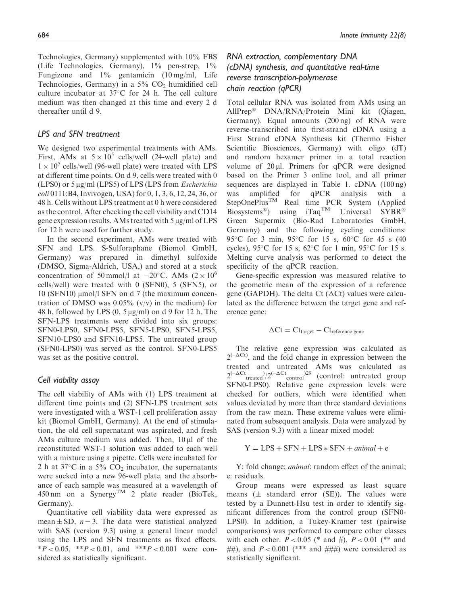Technologies, Germany) supplemented with 10% FBS (Life Technologies, Germany),  $1\%$  pen-strep,  $1\%$ Fungizone and 1% gentamicin (10 mg/ml, Life Technologies, Germany) in a  $5\%$  CO<sub>2</sub> humidified cell culture incubator at  $37^{\circ}$ C for 24 h. The cell culture medium was then changed at this time and every 2 d thereafter until d 9.

## LPS and SFN treatment

We designed two experimental treatments with AMs. First, AMs at  $5 \times 10^5$  cells/well (24-well plate) and  $1 \times 10^5$  cells/well (96-well plate) were treated with LPS at different time points. On d 9, cells were treated with 0 (LPS0) or  $5 \mu g/ml$  (LPS5) of LPS (LPS from *Escherichia* coli 0111:B4, Invivogen, USA) for 0, 1, 3, 6, 12, 24, 36, or 48 h. Cells without LPS treatment at 0 h were considered as the control. After checking the cell viability and CD14 gene expression results, AMs treated with  $5 \mu g/ml$  of LPS for 12 h were used for further study.

In the second experiment, AMs were treated with SFN and LPS. S-Sulforaphane (Biomol GmbH, Germany) was prepared in dimethyl sulfoxide (DMSO, Sigma-Aldrich, USA,) and stored at a stock concentration of 50 mmol/l at  $-20^{\circ}$ C. AMs (2 × 10<sup>6</sup>) cells/well) were treated with 0 (SFN0), 5 (SFN5), or 10 (SFN10)  $\mu$ mol/l SFN on d 7 (the maximum concentration of DMSO was  $0.05\%$  (v/v) in the medium) for 48 h, followed by LPS  $(0, 5 \mu g/ml)$  on d 9 for 12 h. The SFN-LPS treatments were divided into six groups: SFN0-LPS0, SFN0-LPS5, SFN5-LPS0, SFN5-LPS5, SFN10-LPS0 and SFN10-LPS5. The untreated group (SFN0-LPS0) was served as the control. SFN0-LPS5 was set as the positive control.

## Cell viability assay

The cell viability of AMs with (1) LPS treatment at different time points and (2) SFN-LPS treatment sets were investigated with a WST-1 cell proliferation assay kit (Biomol GmbH, Germany). At the end of stimulation, the old cell supernatant was aspirated, and fresh AMs culture medium was added. Then,  $10 \mu l$  of the reconstituted WST-1 solution was added to each well with a mixture using a pipette. Cells were incubated for 2 h at 37 $\degree$ C in a 5% CO<sub>2</sub> incubator, the supernatants were sucked into a new 96-well plate, and the absorbance of each sample was measured at a wavelength of 450 nm on a Synergy<sup>TM</sup> 2 plate reader (BioTek, Germany).

Quantitative cell viability data were expressed as mean  $\pm$  SD,  $n = 3$ . The data were statistical analyzed with SAS (version 9.3) using a general linear model using the LPS and SFN treatments as fixed effects.  $*P < 0.05$ ,  $*P < 0.01$ , and  $**P < 0.001$  were considered as statistically significant.

# RNA extraction, complementary DNA (cDNA) synthesis, and quantitative real-time reverse transcription-polymerase chain reaction (qPCR)

Total cellular RNA was isolated from AMs using an AllPrep® DNA/RNA/Protein Mini kit (Qiagen, Germany). Equal amounts (200 ng) of RNA were reverse-transcribed into first-strand cDNA using a First Strand cDNA Synthesis kit (Thermo Fisher Scientific Biosciences, Germany) with oligo (dT) and random hexamer primer in a total reaction volume of  $20 \mu$ . Primers for qPCR were designed based on the Primer 3 online tool, and all primer sequences are displayed in Table 1. cDNA (100 ng) was amplified for qPCR analysis with a StepOnePlusTM Real time PCR System (Applied Biosystems<sup>®</sup>) using iTaq<sup>TM</sup> Universal SYBR<sup>®</sup>  $SYBR^{\otimes}$ Green Supermix (Bio-Rad Laboratories GmbH, Germany) and the following cycling conditions: 95 °C for 3 min, 95 °C for 15 s, 60 °C for 45 s (40 cycles),  $95^{\circ}$ C for 15 s,  $62^{\circ}$ C for 1 min,  $95^{\circ}$ C for 15 s. Melting curve analysis was performed to detect the specificity of the qPCR reaction.

Gene-specific expression was measured relative to the geometric mean of the expression of a reference gene (GAPDH). The delta Ct ( $\Delta$ Ct) values were calculated as the difference between the target gene and reference gene:

$$
\Delta Ct = Ct_{target} - Ct_{reference\ gene}
$$

The relative gene expression was calculated as  $2^{(-\Delta Ct)}$ , and the fold change in expression between the treated and untreated AMs was calculated as  $2^{(-\Delta C t}$ <sub>treated</sub> $/2^{(-\Delta C t}$ <sub>control</sub>)<sup>29</sup> (control: untreated group SFN0-LPS0). Relative gene expression levels were checked for outliers, which were identified when values deviated by more than three standard deviations from the raw mean. These extreme values were eliminated from subsequent analysis. Data were analyzed by SAS (version 9.3) with a linear mixed model:

$$
Y = LPS + SFN + LPS * SFN + animal + e
$$

Y: fold change; animal: random effect of the animal; e: residuals.

Group means were expressed as least square means  $(\pm$  standard error (SE)). The values were tested by a Dunnett-Hsu test in order to identify significant differences from the control group (SFN0- LPS0). In addition, a Tukey-Kramer test (pairwise comparisons) was performed to compare other classes with each other.  $P < 0.05$  (\* and #),  $P < 0.01$  (\*\* and ##), and  $P < 0.001$  (\*\*\* and ###) were considered as statistically significant.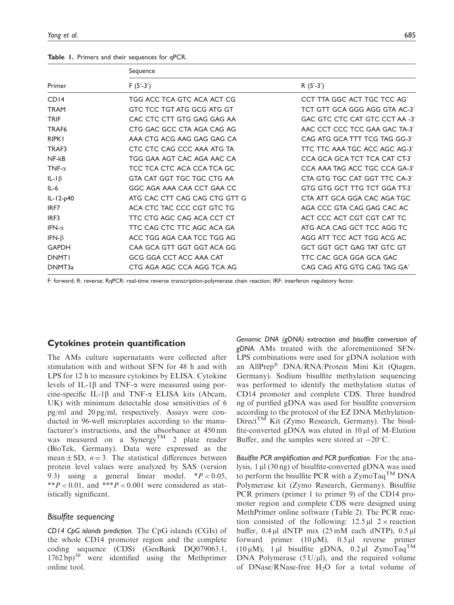#### Table 1. Primers and their sequences for qPCR.

|                   | Sequence                      |                                |  |  |  |
|-------------------|-------------------------------|--------------------------------|--|--|--|
| Primer            | $F(5'-3')$                    | R $(5'-3')$                    |  |  |  |
| CDI4              | TGG ACC TCA GTC ACA ACT CG    | CCT TTA GGC ACT TGC TCC AG'    |  |  |  |
| <b>TRAM</b>       | GTC TCC TGT ATG GCG ATG GT    | TCT GTT GCA GGG AGG GTA AC-3'  |  |  |  |
| <b>TRIF</b>       | CAC CTC CTT GTG GAG GAG AA    | GAC GTC CTC CAT GTC CCT AA -3' |  |  |  |
| TRAF <sub>6</sub> | CTG GAC GCC CTA AGA CAG AG    | AAC CCT CCC TCC GAA GAC TA-3'  |  |  |  |
| <b>RIPK1</b>      | AAA CTG ACG AAG GAG GAG CA    | CAG ATG GCA TTT TCG TAG GG-3'  |  |  |  |
| TRAF3             | CTC CTC CAG CCC AAA ATG TA    | TTC TTC AAA TGC ACC AGC AG-3'  |  |  |  |
| $NF-kB$           | TGG GAA AGT CAC AGA AAC CA    | CCA GCA GCA TCT TCA CAT CT-3'  |  |  |  |
| TNF- $\alpha$     | TCC TCA CTC ACA CCA TCA GC    | CCA AAA TAG ACC TGC CCA GA-3'  |  |  |  |
| IL-I $\beta$      | GTA CAT GGT TGC TGC CTG AA    | CTA GTG TGC CAT GGT TTC CA-3'  |  |  |  |
| $IL-6$            | GGC AGA AAA CAA CCT GAA CC    | GTG GTG GCT TTG TCT GGA TT-3'  |  |  |  |
| $IL-I2-p40$       | ATG CAC CTT CAG CAG CTG GTT G | CTA ATT GCA GGA CAC AGA TGC    |  |  |  |
| IRF7              | ACA CTC TAC CCC CGT GTC TG    | AGA CCC GTA CAG GAG CAC AC     |  |  |  |
| IRF3              | TTC CTG AGC CAG ACA CCT CT    | ACT CCC ACT CGT CGT CAT TC     |  |  |  |
| IFN- $\alpha$     | TTC CAG CTC TTC AGC ACA GA    | ATG ACA CAG GCT TCC AGG TC     |  |  |  |
| IFN- $\beta$      | ACC TGG AGA CAA TCC TGG AG    | AGG ATT TCC ACT TGG ACG AC     |  |  |  |
| <b>GAPDH</b>      | CAA GCA GTT GGT GGT ACA GG    | GCT GGT GCT GAG TAT GTC GT     |  |  |  |
| <b>DNMTI</b>      | GCG GGA CCT ACC AAA CAT       | TTC CAC GCA GGA GCA GAC        |  |  |  |
| DNMT3a            | CTG AGA AGC CCA AGG TCA AG    | CAG CAG ATG GTG CAG TAG GA'    |  |  |  |

F: forward; R: reverse; RqPCR: real-time reverse transcription-polymerase chain reaction; IRF: interferon regulatory factor.

## Cytokines protein quantification

The AMs culture supernatants were collected after stimulation with and without SFN for 48 h and with LPS for 12 h to measure cytokines by ELISA. Cytokine levels of IL-1 $\beta$  and TNF- $\alpha$  were measured using porcine-specific IL-1 $\beta$  and TNF- $\alpha$  ELISA kits (Abcam, UK) with minimum detectable dose sensitivities of 6 pg/ml and 20 pg/ml, respectively. Assays were conducted in 96-well microplates according to the manufacturer's instructions, and the absorbance at 450 nm was measured on a Synergy<sup>TM</sup> 2 plate reader (BioTek, Germany). Data were expressed as the mean  $\pm$  SD,  $n = 3$ . The statistical differences between protein level values were analyzed by SAS (version 9.3) using a general linear model.  $*P < 0.05$ , \*\* $P < 0.01$ , and \*\*\* $P < 0.001$  were considered as statistically significant.

#### Bisulfite sequencing

CD14 CpG islands prediction. The CpG islands (CGIs) of the whole CD14 promoter region and the complete coding sequence (CDS) (GenBank DQ079063.1, 1762 bp)<sup>30</sup> were identified using the Methprimer online tool.

Genomic DNA (gDNA) extraction and bisulfite conversion of gDNA. AMs treated with the aforementioned SFN-LPS combinations were used for gDNA isolation with an AllPrep® DNA/RNA/Protein Mini Kit (Qiagen, Germany). Sodium bisulfite methylation sequencing was performed to identify the methylation status of CD14 promoter and complete CDS. Three hundred ng of purified gDNA was used for bisulfite conversion according to the protocol of the EZ DNA Methylation- $Direct^{TM}$  Kit (Zymo Research, Germany). The bisulfite-converted gDNA was eluted in  $10 \mu l$  of M-Elution Buffer, and the samples were stored at  $-20^{\circ}$ C.

Bisulfite PCR amplification and PCR purification. For the analysis, 1 µl (30 ng) of bisulfite-converted gDNA was used to perform the bisulfite PCR with a  $ZymoTaq^{TM}$  DNA Polymerase kit (Zymo Research, Germany). Bisulfite PCR primers (primer 1 to primer 9) of the CD14 promoter region and complete CDS were designed using MethPrimer online software (Table 2). The PCR reaction consisted of the following:  $12.5 \mu$ l  $2 \times$  reaction buffer,  $0.4 \mu$ l dNTP mix  $(25 \text{ mM}$  each dNTP),  $0.5 \mu$ l forward primer  $(10 \mu M)$ ,  $0.5 \mu l$  reverse primer ( $10 \mu M$ ), 1  $\mu$ l bisulfite gDNA,  $0.2 \mu$ l ZymoTaq<sup>TM</sup> DNA Polymerase  $(5 U/\mu l)$ , and the required volume of  $DNase/RNase-free H<sub>2</sub>O$  for a total volume of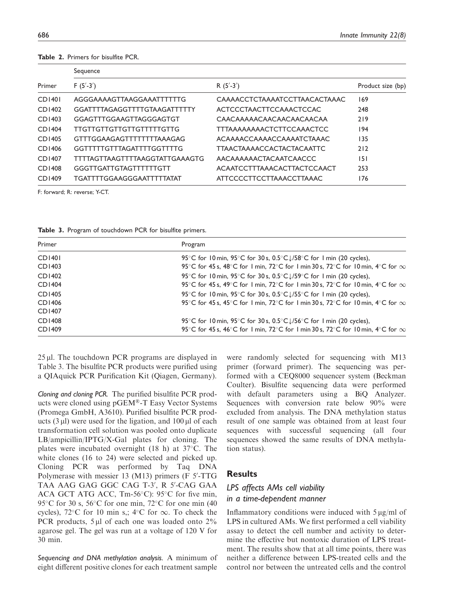| Sequence                       |                                  |                   |  |  |  |  |
|--------------------------------|----------------------------------|-------------------|--|--|--|--|
| $F(5' - 3')$                   | R $(5' - 3')$                    | Product size (bp) |  |  |  |  |
| AGGGAAAAGTTAAGGAAATTTTTTG      | CAAAACCTCTAAAATCCTTAACACTAAAC    | 169               |  |  |  |  |
| GGATTTTAGAGGTTTTGTAAGATTTTTY   | ACTCCCTAACTTCCAAACTCCAC          | 248               |  |  |  |  |
| GGAGTTTGGAAGTTAGGGAGTGT        | CAACAAAAACAACAACAACAACAA         | 219               |  |  |  |  |
| TTGTTGTTGTTGTTGTTTTTGTTG       | <b>TTTAAAAAAAACTCTTCCAAACTCC</b> | 194               |  |  |  |  |
| GTTTGGAAGAGTTTTTTTTAAAGAG      | ACAAAACCAAAACCAAAATCTAAAC        | 135               |  |  |  |  |
| GGTTTTTGTTTAGATTTTGGTTTTG      | <b>TTAACTAAAACCACTACTACAATTC</b> | 212               |  |  |  |  |
| TTTTAGTTAAGTTTTAAGGTATTGAAAGTG | AACAAAAAACTACAATCAACCC           | 151               |  |  |  |  |
| GGGTTGATTGTAGTTTTTTGTT         | ACAATCCTTTAAACACTTACTCCAACT      | 253               |  |  |  |  |
| TGATTTTGGAAGGGAATTTTTATAT      | ATTCCCCTTCCTTAAACCTTAAAC         | 176               |  |  |  |  |
|                                |                                  |                   |  |  |  |  |

Table 2. Primers for bisulfite PCR.

F: forward; R: reverse; Y-CT.

Table 3. Program of touchdown PCR for bisulfite primers.

| Primer                     | Program                                                                                                                                                              |
|----------------------------|----------------------------------------------------------------------------------------------------------------------------------------------------------------------|
| <b>CD1401</b>              | 95 °C for 10 min, 95 °C for 30 s, 0.5 °C $\downarrow$ /58 °C for 1 min (20 cycles),                                                                                  |
| CD1403                     | 95°C for 45 s, 48°C for 1 min, 72°C for 1 min 30 s, 72°C for 10 min, 4°C for $\infty$                                                                                |
| CD1402                     | 95 °C for 10 min, 95 °C for 30 s, 0.5 °C $\downarrow$ /59 °C for 1 min (20 cycles),                                                                                  |
| CD1404                     | 95°C for 45 s, 49°C for 1 min, 72°C for 1 min 30 s, 72°C for 10 min, 4°C for $\infty$                                                                                |
| CD1405<br>CD1406<br>CD1407 | 95 °C for 10 min, 95 °C for 30 s, $0.5$ °C $1/55$ °C for 1 min (20 cycles),<br>95°C for 45 s, 45°C for 1 min, 72°C for 1 min 30 s, 72°C for 10 min, 4°C for $\infty$ |
| <b>CD1408</b>              | 95 °C for 10 min, 95 °C for 30 s, 0.5 °C $\downarrow$ /56 °C for 1 min (20 cycles),                                                                                  |
| CD1409                     | 95°C for 45 s, 46°C for 1 min, 72°C for 1 min 30 s, 72°C for 10 min, 4°C for $\infty$                                                                                |

 $25 \mu$ . The touchdown PCR programs are displayed in Table 3. The bisulfite PCR products were purified using a QIAquick PCR Purification Kit (Qiagen, Germany).

Cloning and cloning PCR. The purified bisulfite PCR products were cloned using pGEM®-T Easy Vector Systems (Promega GmbH, A3610). Purified bisulfite PCR products  $(3 \mu l)$  were used for the ligation, and  $100 \mu l$  of each transformation cell solution was pooled onto duplicate LB/ampicillin/IPTG/X-Gal plates for cloning. The plates were incubated overnight (18 h) at  $37^{\circ}$ C. The white clones (16 to 24) were selected and picked up. Cloning PCR was performed by Taq DNA Polymerase with messier 13 (M13) primers (F 5'-TTG TAA AAG GAG GGC CAG T-3', R 5'-CAG GAA ACA GCT ATG ACC,  $Tm-56^{\circ}C$ : 95 $^{\circ}C$  for five min, 95 $\degree$ C for 30 s, 56 $\degree$ C for one min, 72 $\degree$ C for one min (40 cycles),  $72^{\circ}$ C for 10 min s,;  $4^{\circ}$ C for  $\infty$ . To check the PCR products,  $5 \mu l$  of each one was loaded onto  $2\%$ agarose gel. The gel was run at a voltage of 120 V for 30 min.

Sequencing and DNA methylation analysis. A minimum of eight different positive clones for each treatment sample were randomly selected for sequencing with M13 primer (forward primer). The sequencing was performed with a CEQ8000 sequencer system (Beckman Coulter). Bisulfite sequencing data were performed with default parameters using a BiQ Analyzer. Sequences with conversion rate below 90% were excluded from analysis. The DNA methylation status result of one sample was obtained from at least four sequences with successful sequencing (all four sequences showed the same results of DNA methylation status).

## **Results**

# LPS affects AMs cell viability in a time-dependent manner

Inflammatory conditions were induced with  $5 \mu g/ml$  of LPS in cultured AMs. We first performed a cell viability assay to detect the cell number and activity to determine the effective but nontoxic duration of LPS treatment. The results show that at all time points, there was neither a difference between LPS-treated cells and the control nor between the untreated cells and the control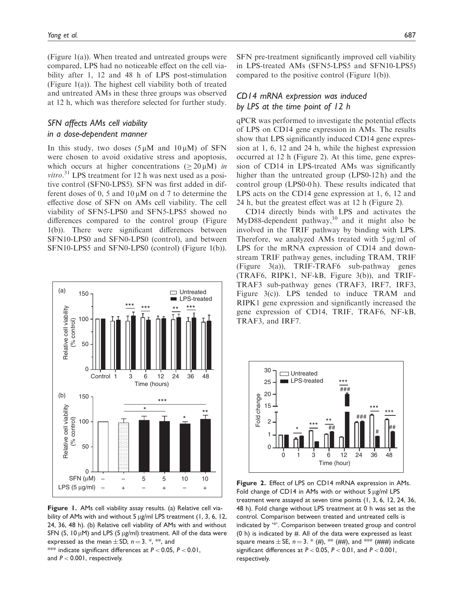(Figure 1(a)). When treated and untreated groups were compared, LPS had no noticeable effect on the cell viability after 1, 12 and 48 h of LPS post-stimulation (Figure 1(a)). The highest cell viability both of treated and untreated AMs in these three groups was observed at 12 h, which was therefore selected for further study.

## SFN affects AMs cell viability in a dose-dependent manner

In this study, two doses  $(5 \mu M \text{ and } 10 \mu M)$  of SFN were chosen to avoid oxidative stress and apoptosis, which occurs at higher concentrations ( $\geq 20 \mu M$ ) in vitro.<sup>31</sup> LPS treatment for 12 h was next used as a positive control (SFN0-LPS5). SFN was first added in different doses of 0, 5 and  $10 \mu M$  on d 7 to determine the effective dose of SFN on AMs cell viability. The cell viability of SFN5-LPS0 and SFN5-LPS5 showed no differences compared to the control group (Figure 1(b)). There were significant differences between SFN10-LPS0 and SFN0-LPS0 (control), and between SFN10-LPS5 and SFN0-LPS0 (control) (Figure 1(b)).



Figure 1. AMs cell viability assay results. (a) Relative cell viability of AMs with and without 5  $\mu$ g/ml LPS treatment (1, 3, 6, 12, 24, 36, 48 h). (b) Relative cell viability of AMs with and without SFN (5, 10  $\mu$ M) and LPS (5  $\mu$ g/ml) treatment. All of the data were expressed as the mean  $\pm$  SD,  $n = 3$ . \*, \*\*, and \*\*\* indicate significant differences at  $P < 0.05$ ,  $P < 0.01$ ,

and  $P < 0.001$ , respectively.

SFN pre-treatment significantly improved cell viability in LPS-treated AMs (SFN5-LPS5 and SFN10-LPS5) compared to the positive control (Figure 1(b)).

## CD14 mRNA expression was induced by LPS at the time point of 12 h

qPCR was performed to investigate the potential effects of LPS on CD14 gene expression in AMs. The results show that LPS significantly induced CD14 gene expression at 1, 6, 12 and 24 h, while the highest expression occurred at 12 h (Figure 2). At this time, gene expression of CD14 in LPS-treated AMs was significantly higher than the untreated group (LPS0-12 h) and the control group (LPS0-0 h). These results indicated that LPS acts on the CD14 gene expression at 1, 6, 12 and 24 h, but the greatest effect was at 12 h (Figure 2).

CD14 directly binds with LPS and activates the MyD88-dependent pathway, $10$  and it might also be involved in the TRIF pathway by binding with LPS. Therefore, we analyzed AMs treated with  $5 \mu g/ml$  of LPS for the mRNA expression of CD14 and downstream TRIF pathway genes, including TRAM, TRIF (Figure 3(a)), TRIF-TRAF6 sub-pathway genes (TRAF6, RIPK1, NF-kB, Figure 3(b)), and TRIF-TRAF3 sub-pathway genes (TRAF3, IRF7, IRF3, Figure 3(c)). LPS tended to induce TRAM and RIPK1 gene expression and significantly increased the gene expression of CD14, TRIF, TRAF6, NF-kB, TRAF3, and IRF7.



Figure 2. Effect of LPS on CD14 mRNA expression in AMs. Fold change of CD14 in AMs with or without  $5 \mu g/ml$  LPS treatment were assayed at seven time points (1, 3, 6, 12, 24, 36, 48 h). Fold change without LPS treatment at 0 h was set as the control. Comparison between treated and untreated cells is indicated by '\*'. Comparison between treated group and control (0 h) is indicated by  $#$ . All of the data were expressed as least square means  $\pm$  SE,  $n = 3$ . \* (#), \*\* (##), and \*\*\* (###) indicate significant differences at  $P < 0.05$ ,  $P < 0.01$ , and  $P < 0.001$ , respectively.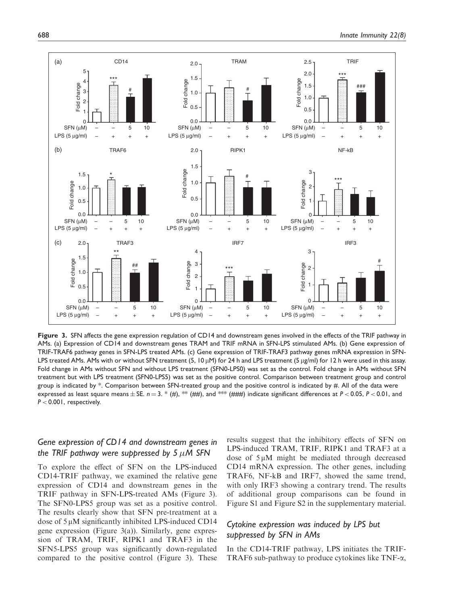

Figure 3. SFN affects the gene expression regulation of CD14 and downstream genes involved in the effects of the TRIF pathway in AMs. (a) Expression of CD14 and downstream genes TRAM and TRIF mRNA in SFN-LPS stimulated AMs. (b) Gene expression of TRIF-TRAF6 pathway genes in SFN-LPS treated AMs. (c) Gene expression of TRIF-TRAF3 pathway genes mRNA expression in SFN-LPS treated AMs. AMs with or without SFN treatment (5, 10  $\mu$ M) for 24 h and LPS treatment (5  $\mu$ g/ml) for 12 h were used in this assay. Fold change in AMs without SFN and without LPS treatment (SFN0-LPS0) was set as the control. Fold change in AMs without SFN treatment but with LPS treatment (SFN0-LPS5) was set as the positive control. Comparison between treatment group and control group is indicated by \*. Comparison between SFN-treated group and the positive control is indicated by #. All of the data were expressed as least square means  $\pm$  SE.  $n = 3$ . \* (#), \*\* (##), and \*\* (###) indicate significant differences at  $P < 0.05$ ,  $P < 0.01$ , and  $P < 0.001$ , respectively.

# Gene expression of CD14 and downstream genes in the TRIF pathway were suppressed by 5  $\mu$ M SFN

To explore the effect of SFN on the LPS-induced CD14-TRIF pathway, we examined the relative gene expression of CD14 and downstream genes in the TRIF pathway in SFN-LPS-treated AMs (Figure 3). The SFN0-LPS5 group was set as a positive control. The results clearly show that SFN pre-treatment at a dose of  $5 \mu$ M significantly inhibited LPS-induced CD14 gene expression (Figure 3(a)). Similarly, gene expression of TRAM, TRIF, RIPK1 and TRAF3 in the SFN5-LPS5 group was significantly down-regulated compared to the positive control (Figure 3). These results suggest that the inhibitory effects of SFN on LPS-induced TRAM, TRIF, RIPK1 and TRAF3 at a dose of  $5 \mu M$  might be mediated through decreased CD14 mRNA expression. The other genes, including TRAF6, NF-kB and IRF7, showed the same trend, with only IRF3 showing a contrary trend. The results of additional group comparisons can be found in Figure S1 and Figure S2 in the supplementary material.

## Cytokine expression was induced by LPS but suppressed by SFN in AMs

In the CD14-TRIF pathway, LPS initiates the TRIF-TRAF6 sub-pathway to produce cytokines like TNF-a,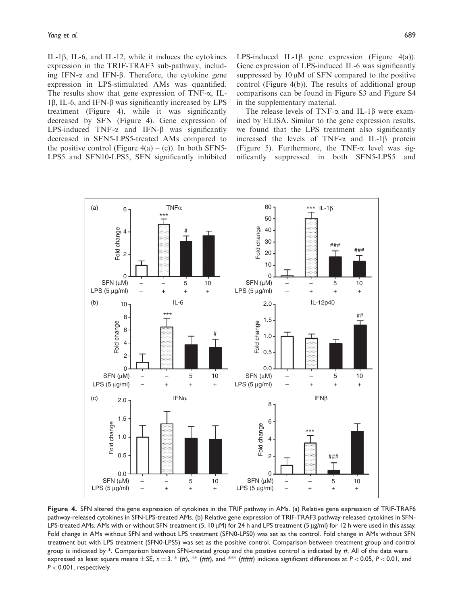IL-1 $\beta$ , IL-6, and IL-12, while it induces the cytokines expression in the TRIF-TRAF3 sub-pathway, including IFN- $\alpha$  and IFN- $\beta$ . Therefore, the cytokine gene expression in LPS-stimulated AMs was quantified. The results show that gene expression of TNF- $\alpha$ , IL-1 $\beta$ , IL-6, and IFN- $\beta$  was significantly increased by LPS treatment (Figure 4), while it was significantly decreased by SFN (Figure 4). Gene expression of LPS-induced TNF- $\alpha$  and IFN- $\beta$  was significantly decreased in SFN5-LPS5-treated AMs compared to the positive control (Figure  $4(a) - (c)$ ). In both SFN5-LPS5 and SFN10-LPS5, SFN significantly inhibited LPS-induced IL-1 $\beta$  gene expression (Figure 4(a)). Gene expression of LPS-induced IL-6 was significantly suppressed by  $10 \mu M$  of SFN compared to the positive control (Figure 4(b)). The results of additional group comparisons can be found in Figure S3 and Figure S4 in the supplementary material.

The release levels of TNF- $\alpha$  and IL-1 $\beta$  were examined by ELISA. Similar to the gene expression results, we found that the LPS treatment also significantly increased the levels of TNF- $\alpha$  and IL-1 $\beta$  protein (Figure 5). Furthermore, the TNF- $\alpha$  level was significantly suppressed in both SFN5-LPS5 and



Figure 4. SFN altered the gene expression of cytokines in the TRIF pathway in AMs. (a) Relative gene expression of TRIF-TRAF6 pathway-released cytokines in SFN-LPS-treated AMs. (b) Relative gene expression of TRIF-TRAF3 pathway-released cytokines in SFN-LPS-treated AMs. AMs with or without SFN treatment (5, 10  $\mu$ M) for 24 h and LPS treatment (5  $\mu$ g/ml) for 12 h were used in this assay. Fold change in AMs without SFN and without LPS treatment (SFN0-LPS0) was set as the control. Fold change in AMs without SFN treatment but with LPS treatment (SFN0-LPS5) was set as the positive control. Comparison between treatment group and control group is indicated by \*. Comparison between SFN-treated group and the positive control is indicated by #. All of the data were expressed as least square means  $\pm$  SE,  $n = 3$ .  $*$  (#),  $**$  (##), and  $***$  (###) indicate significant differences at  $P < 0.05$ ,  $P < 0.01$ , and P < 0.001, respectively.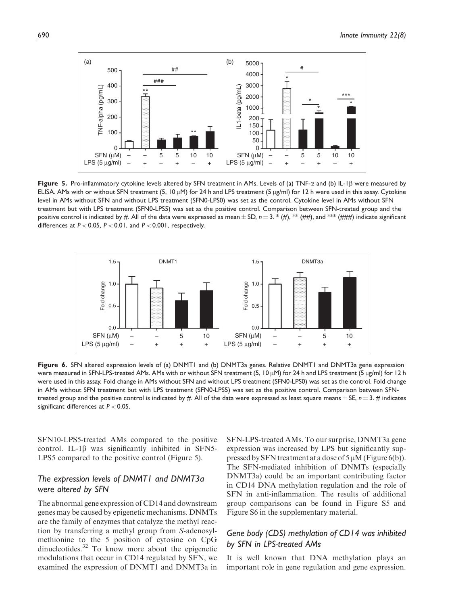

Figure 5. Pro-inflammatory cytokine levels altered by SFN treatment in AMs. Levels of (a) TNF- $\alpha$  and (b) IL-1B were measured by ELISA. AMs with or without SFN treatment (5, 10  $\mu$ M) for 24 h and LPS treatment (5  $\mu$ g/ml) for 12 h were used in this assay. Cytokine level in AMs without SFN and without LPS treatment (SFN0-LPS0) was set as the control. Cytokine level in AMs without SFN treatment but with LPS treatment (SFN0-LPS5) was set as the positive control. Comparison between SFN-treated group and the positive control is indicated by #. All of the data were expressed as mean  $\pm$  SD,  $n = 3$ . \* (#), \*\* (###), and \*\*\* (####) indicate significant differences at  $P < 0.05$ ,  $P < 0.01$ , and  $P < 0.001$ , respectively.

![](_page_8_Figure_3.jpeg)

Figure 6. SFN altered expression levels of (a) DNMT1 and (b) DNMT3a genes. Relative DNMT1 and DNMT3a gene expression were measured in SFN-LPS-treated AMs. AMs with or without SFN treatment (5, 10  $\mu$ M) for 24 h and LPS treatment (5  $\mu$ g/ml) for 12 h were used in this assay. Fold change in AMs without SFN and without LPS treatment (SFN0-LPS0) was set as the control. Fold change in AMs without SFN treatment but with LPS treatment (SFN0-LPS5) was set as the positive control. Comparison between SFNtreated group and the positive control is indicated by #. All of the data were expressed as least square means  $\pm$  SE,  $n = 3$ . # indicates significant differences at  $P < 0.05$ .

SFN10-LPS5-treated AMs compared to the positive control. IL-1 $\beta$  was significantly inhibited in SFN5-LPS5 compared to the positive control (Figure 5).

## The expression levels of DNMT1 and DNMT3a were altered by SFN

The abnormal gene expression of CD14 and downstream genes may be caused by epigenetic mechanisms. DNMTs are the family of enzymes that catalyze the methyl reaction by transferring a methyl group from S-adenosylmethionine to the 5 position of cytosine on CpG dinucleotides.<sup>32</sup> To know more about the epigenetic modulations that occur in CD14 regulated by SFN, we examined the expression of DNMT1 and DNMT3a in SFN-LPS-treated AMs. To our surprise, DNMT3a gene expression was increased by LPS but significantly suppressed by SFN treatment at a dose of  $5 \mu M$  (Figure 6(b)). The SFN-mediated inhibition of DNMTs (especially DNMT3a) could be an important contributing factor in CD14 DNA methylation regulation and the role of SFN in anti-inflammation. The results of additional group comparisons can be found in Figure S5 and Figure S6 in the supplementary material.

# Gene body (CDS) methylation of CD14 was inhibited by SFN in LPS-treated AMs

It is well known that DNA methylation plays an important role in gene regulation and gene expression.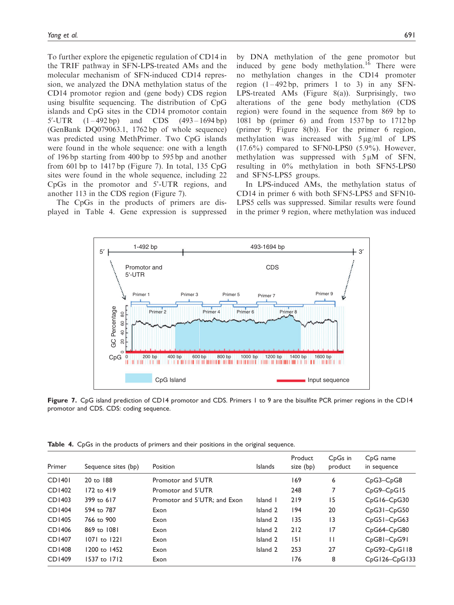To further explore the epigenetic regulation of CD14 in the TRIF pathway in SFN-LPS-treated AMs and the molecular mechanism of SFN-induced CD14 repression, we analyzed the DNA methylation status of the CD14 promotor region and (gene body) CDS region using bisulfite sequencing. The distribution of CpG islands and CpG sites in the CD14 promotor contain  $5'$ -UTR  $(1 - 492 \text{ bp})$  and CDS  $(493 - 1694 \text{ bp})$ (GenBank DQ079063.1, 1762 bp of whole sequence) was predicted using MethPrimer. Two CpG islands were found in the whole sequence: one with a length of 196 bp starting from 400 bp to 595 bp and another from 601 bp to  $1417$  bp (Figure 7). In total, 135 CpG sites were found in the whole sequence, including 22 CpGs in the promotor and 5'-UTR regions, and another 113 in the CDS region (Figure 7).

The CpGs in the products of primers are displayed in Table 4. Gene expression is suppressed by DNA methylation of the gene promotor but induced by gene body methylation.<sup>16</sup> There were no methylation changes in the CD14 promoter region  $(1-492 \text{ bp}, \text{ primers } 1 \text{ to } 3)$  in any SFN-LPS-treated AMs (Figure 8(a)). Surprisingly, two alterations of the gene body methylation (CDS region) were found in the sequence from 869 bp to 1081 bp (primer 6) and from 1537 bp to 1712 bp (primer 9; Figure 8(b)). For the primer 6 region, methylation was increased with  $5 \mu g/ml$  of LPS  $(17.6\%)$  compared to SFN0-LPS0  $(5.9\%)$ . However, methylation was suppressed with  $5 \mu M$  of SFN, resulting in 0% methylation in both SFN5-LPS0 and SFN5-LPS5 groups.

In LPS-induced AMs, the methylation status of CD14 in primer 6 with both SFN5-LPS5 and SFN10- LPS5 cells was suppressed. Similar results were found in the primer 9 region, where methylation was induced

![](_page_9_Figure_5.jpeg)

Figure 7. CpG island prediction of CD14 promotor and CDS. Primers 1 to 9 are the bisulfite PCR primer regions in the CD14 promotor and CDS. CDS: coding sequence.

| Primer        | Sequence sites (bp) | Position                     | <b>Islands</b> | Product<br>size (bp) | C <sub>p</sub> G <sub>s</sub> in<br>product | C <sub>p</sub> G name<br>in sequence |
|---------------|---------------------|------------------------------|----------------|----------------------|---------------------------------------------|--------------------------------------|
| <b>CD1401</b> | 20 to 188           | Promotor and 5'UTR           |                | 169                  | 6                                           | $CpG3-CpG8$                          |
| CD1402        | 172 to 419          | Promotor and 5'UTR           |                | 248                  | 7                                           | $CpG9-CpG15$                         |
| CD1403        | 399 to 617          | Promotor and 5'UTR: and Exon | Island I       | 219                  | 15                                          | $CpG16-CpG30$                        |
| <b>CD1404</b> | 594 to 787          | Exon                         | Island 2       | 194                  | 20                                          | $CpG31-CpG50$                        |
| CD1405        | 766 to 900          | Exon                         | Island 2       | 135                  | $\overline{13}$                             | $CpG51-CpG63$                        |
| CD1406        | 869 to 1081         | Exon                         | Island 2       | 212                  | 17                                          | $CpG64-CpG80$                        |
| CD1407        | 1071 to 1221        | Exon                         | Island 2       | 151                  | $\mathsf{I}$                                | CpG81-CpG91                          |
| CD1408        | 1200 to 1452        | Exon                         | Island 2       | 253                  | 27                                          | CpG92-CpG118                         |
| CD1409        | 1537 to 1712        | Exon                         |                | 176                  | 8                                           | CpG126-CpG133                        |

Table 4. CpGs in the products of primers and their positions in the original sequence.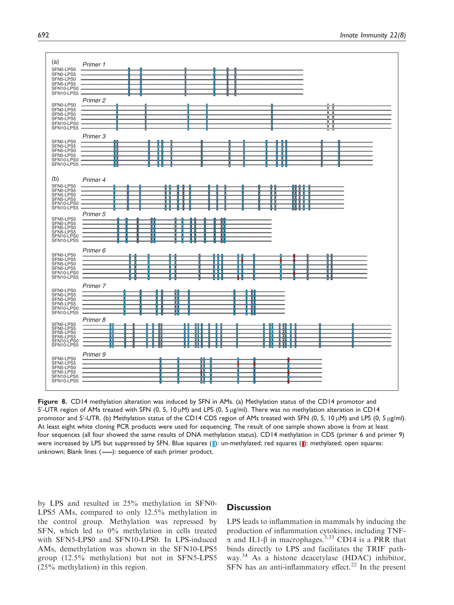![](_page_10_Figure_1.jpeg)

Figure 8. CD14 methylation alteration was induced by SFN in AMs. (a) Methylation status of the CD14 promotor and 5'-UTR region of AMs treated with SFN (0, 5, 10  $\mu$ M) and LPS (0, 5  $\mu$ g/ml). There was no methylation alteration in CD14 promotor and 5'-UTR. (b) Methylation status of the CD14 CDS region of AMs treated with SFN (0, 5, 10  $\mu$ M) and LPS (0, 5  $\mu$ g/ml). At least eight white cloning PCR products were used for sequencing. The result of one sample shown above is from at least four sequences (all four showed the same results of DNA methylation status). CD14 methylation in CDS (primer 6 and primer 9) were increased by LPS but suppressed by SFN. Blue squares (|): un-methylated; red squares (|): methylated; open squares: unknown; Blank lines (-): sequence of each primer product.

by LPS and resulted in 25% methylation in SFN0- LPS5 AMs, compared to only 12.5% methylation in the control group. Methylation was repressed by SFN, which led to 0% methylation in cells treated with SFN5-LPS0 and SFN10-LPS0. In LPS-induced AMs, demethylation was shown in the SFN10-LPS5 group (12.5% methylation) but not in SFN5-LPS5 (25% methylation) in this region.

## **Discussion**

LPS leads to inflammation in mammals by inducing the production of inflammation cytokines, including TNF- $\alpha$  and IL1- $\beta$  in macrophages.<sup>3,33</sup> CD14 is a PRR that binds directly to LPS and facilitates the TRIF pathway.<sup>34</sup> As a histone deacetylase (HDAC) inhibitor, SFN has an anti-inflammatory effect.<sup>22</sup> In the present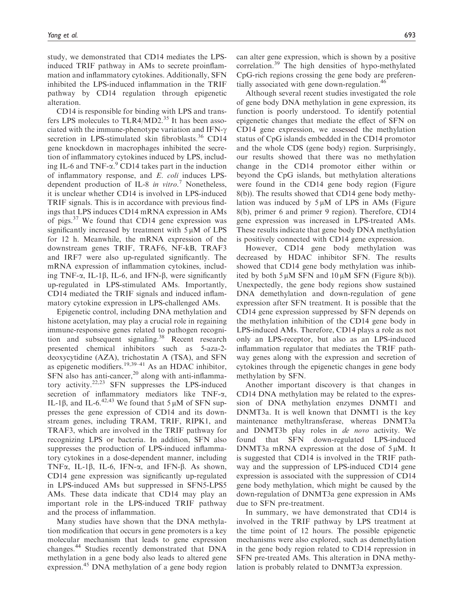study, we demonstrated that CD14 mediates the LPSinduced TRIF pathway in AMs to secrete proinflammation and inflammatory cytokines. Additionally, SFN inhibited the LPS-induced inflammation in the TRIF pathway by CD14 regulation through epigenetic alteration.

CD14 is responsible for binding with LPS and transfers LPS molecules to TLR4/MD2.<sup>35</sup> It has been associated with the immune-phenotype variation and IFN- $\gamma$ secretion in LPS-stimulated skin fibroblasts.<sup>36</sup> CD14 gene knockdown in macrophages inhibited the secretion of inflammatory cytokines induced by LPS, including IL-6 and TNF- $\alpha$ .<sup>9</sup> CD14 takes part in the induction of inflammatory response, and E. coli induces LPSdependent production of IL-8 in vitro.<sup>7</sup> Nonetheless, it is unclear whether CD14 is involved in LPS-induced TRIF signals. This is in accordance with previous findings that LPS induces CD14 mRNA expression in AMs of pigs. $37$  We found that CD14 gene expression was significantly increased by treatment with  $5 \mu M$  of LPS for 12 h. Meanwhile, the mRNA expression of the downstream genes TRIF, TRAF6, NF-kB, TRAF3 and IRF7 were also up-regulated significantly. The mRNA expression of inflammation cytokines, including TNF- $\alpha$ , IL-1 $\beta$ , IL-6, and IFN- $\beta$ , were significantly up-regulated in LPS-stimulated AMs. Importantly, CD14 mediated the TRIF signals and induced inflammatory cytokine expression in LPS-challenged AMs.

Epigenetic control, including DNA methylation and histone acetylation, may play a crucial role in regaining immune-responsive genes related to pathogen recognition and subsequent signaling.<sup>38</sup> Recent research presented chemical inhibitors such as 5-aza-2 deoxycytidine (AZA), trichostatin A (TSA), and SFN as epigenetic modifiers.<sup>19,39–41</sup> As an HDAC inhibitor,  $SFN$  also has anti-cancer,<sup>20</sup> along with anti-inflammatory activity.<sup>22,23</sup> SFN suppresses the LPS-induced secretion of inflammatory mediators like TNF-a, IL-1 $\beta$ , and IL-6.<sup>42,43</sup> We found that 5  $\mu$ M of SFN suppresses the gene expression of CD14 and its downstream genes, including TRAM, TRIF, RIPK1, and TRAF3, which are involved in the TRIF pathway for recognizing LPS or bacteria. In addition, SFN also suppresses the production of LPS-induced inflammatory cytokines in a dose-dependent manner, including TNF $\alpha$ , IL-1 $\beta$ , IL-6, IFN- $\alpha$ , and IFN- $\beta$ . As shown, CD14 gene expression was significantly up-regulated in LPS-induced AMs but suppressed in SFN5-LPS5 AMs. These data indicate that CD14 may play an important role in the LPS-induced TRIF pathway and the process of inflammation.

Many studies have shown that the DNA methylation modification that occurs in gene promoters is a key molecular mechanism that leads to gene expression changes.<sup>44</sup> Studies recently demonstrated that DNA methylation in a gene body also leads to altered gene expression.<sup>45</sup> DNA methylation of a gene body region can alter gene expression, which is shown by a positive correlation.<sup>39</sup> The high densities of hypo-methylated CpG-rich regions crossing the gene body are preferentially associated with gene down-regulation.<sup>46</sup>

Although several recent studies investigated the role of gene body DNA methylation in gene expression, its function is poorly understood. To identify potential epigenetic changes that mediate the effect of SFN on CD14 gene expression, we assessed the methylation status of CpG islands embedded in the CD14 promotor and the whole CDS (gene body) region. Surprisingly, our results showed that there was no methylation change in the CD14 promotor either within or beyond the CpG islands, but methylation alterations were found in the CD14 gene body region (Figure 8(b)). The results showed that CD14 gene body methylation was induced by  $5 \mu M$  of LPS in AMs (Figure 8(b), primer 6 and primer 9 region). Therefore, CD14 gene expression was increased in LPS-treated AMs. These results indicate that gene body DNA methylation is positively connected with CD14 gene expression.

However, CD14 gene body methylation was decreased by HDAC inhibitor SFN. The results showed that CD14 gene body methylation was inhibited by both  $5 \mu M$  SFN and  $10 \mu M$  SFN (Figure 8(b)). Unexpectedly, the gene body regions show sustained DNA demethylation and down-regulation of gene expression after SFN treatment. It is possible that the CD14 gene expression suppressed by SFN depends on the methylation inhibition of the CD14 gene body in LPS-induced AMs. Therefore, CD14 plays a role as not only an LPS-receptor, but also as an LPS-induced inflammation regulator that mediates the TRIF pathway genes along with the expression and secretion of cytokines through the epigenetic changes in gene body methylation by SFN.

Another important discovery is that changes in CD14 DNA methylation may be related to the expression of DNA methylation enzymes DNMT1 and DNMT3a. It is well known that DNMT1 is the key maintenance methyltransferase, whereas DNMT3a and DNMT3b play roles in de novo activity. We found that SFN down-regulated LPS-induced DNMT3a mRNA expression at the dose of  $5 \mu$ M. It is suggested that CD14 is involved in the TRIF pathway and the suppression of LPS-induced CD14 gene expression is associated with the suppression of CD14 gene body methylation, which might be caused by the down-regulation of DNMT3a gene expression in AMs due to SFN pre-treatment.

In summary, we have demonstrated that CD14 is involved in the TRIF pathway by LPS treatment at the time point of 12 hours. The possible epigenetic mechanisms were also explored, such as demethylation in the gene body region related to CD14 repression in SFN pre-treated AMs. This alteration in DNA methylation is probably related to DNMT3a expression.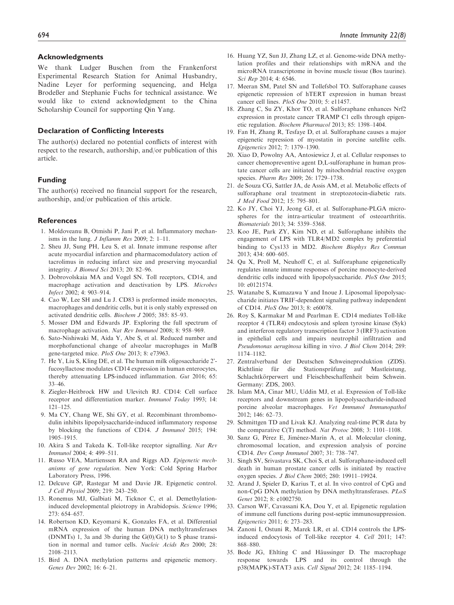#### Acknowledgments

We thank Ludger Buschen from the Frankenforst Experimental Research Station for Animal Husbandry, Nadine Leyer for performing sequencing, and Helga Brodeßer and Stephanie Fuchs for technical assistance. We would like to extend acknowledgment to the China Scholarship Council for supporting Qin Yang.

#### Declaration of Conflicting Interests

The author(s) declared no potential conflicts of interest with respect to the research, authorship, and/or publication of this article.

#### Funding

The author(s) received no financial support for the research, authorship, and/or publication of this article.

#### References

- 1. Moldoveanu B, Otmishi P, Jani P, et al. Inflammatory mechanisms in the lung. J Inflamm Res 2009; 2: 1–11.
- 2. Sheu JJ, Sung PH, Leu S, et al. Innate immune response after acute myocardial infarction and pharmacomodulatory action of tacrolimus in reducing infarct size and preserving myocardial integrity. J Biomed Sci 2013; 20: 82–96.
- 3. Dobrovolskaia MA and Vogel SN. Toll receptors, CD14, and macrophage activation and deactivation by LPS. Microbes Infect 2002; 4: 903–914.
- 4. Cao W, Lee SH and Lu J. CD83 is preformed inside monocytes, macrophages and dendritic cells, but it is only stably expressed on activated dendritic cells. Biochem J 2005; 385: 85–93.
- 5. Mosser DM and Edwards JP. Exploring the full spectrum of macrophage activation. Nat Rev Immunol 2008; 8: 958–969.
- 6. Sato-Nishiwaki M, Aida Y, Abe S, et al. Reduced number and morphofunctional change of alveolar macrophages in MafB gene-targeted mice. PloS One 2013; 8: e73963.
- 7. He Y, Liu S, Kling DE, et al. The human milk oligosaccharide 2' fucosyllactose modulates CD14 expression in human enterocytes, thereby attenuating LPS-induced inflammation. Gut 2016; 65: 33–46.
- 8. Ziegler-Heitbrock HW and Ulevitch RJ. CD14: Cell surface receptor and differentiation marker. Immunol Today 1993; 14: 121–125.
- 9. Ma CY, Chang WE, Shi GY, et al. Recombinant thrombomodulin inhibits lipopolysaccharide-induced inflammatory response by blocking the functions of CD14. J Immunol 2015; 194: 1905–1915.
- 10. Akira S and Takeda K. Toll-like receptor signalling. Nat Rev Immunol 2004; 4: 499–511.
- 11. Russo VEA, Martienssen RA and Riggs AD. Epigenetic mechanisms of gene regulation. New York: Cold Spring Harbor Laboratory Press, 1996.
- 12. Delcuve GP, Rastegar M and Davie JR. Epigenetic control. J Cell Physiol 2009; 219: 243–250.
- 13. Ronemus MJ, Galbiati M, Ticknor C, et al. Demethylationinduced developmental pleiotropy in Arabidopsis. Science 1996; 273: 654–657.
- 14. Robertson KD, Keyomarsi K, Gonzales FA, et al. Differential mRNA expression of the human DNA methyltransferases (DNMTs) 1, 3a and 3b during the  $G(0)/G(1)$  to S phase transition in normal and tumor cells. Nucleic Acids Res 2000; 28: 2108–2113.
- 15. Bird A. DNA methylation patterns and epigenetic memory. Genes Dev 2002; 16: 6–21.
- 16. Huang YZ, Sun JJ, Zhang LZ, et al. Genome-wide DNA methylation profiles and their relationships with mRNA and the microRNA transcriptome in bovine muscle tissue (Bos taurine). Sci Rep 2014; 4: 6546.
- 17. Meeran SM, Patel SN and Tollefsbol TO. Sulforaphane causes epigenetic repression of hTERT expression in human breast cancer cell lines. PloS One 2010; 5: e11457.
- 18. Zhang C, Su ZY, Khor TO, et al. Sulforaphane enhances Nrf2 expression in prostate cancer TRAMP C1 cells through epigenetic regulation. Biochem Pharmacol 2013; 85: 1398–1404.
- 19. Fan H, Zhang R, Tesfaye D, et al. Sulforaphane causes a major epigenetic repression of myostatin in porcine satellite cells. Epigenetics 2012; 7: 1379–1390.
- 20. Xiao D, Powolny AA, Antosiewicz J, et al. Cellular responses to cancer chemopreventive agent D,L-sulforaphane in human prostate cancer cells are initiated by mitochondrial reactive oxygen species. Pharm Res 2009; 26: 1729–1738.
- 21. de Souza CG, Sattler JA, de Assis AM, et al. Metabolic effects of sulforaphane oral treatment in streptozotocin-diabetic rats. J Med Food 2012; 15: 795–801.
- 22. Ko JY, Choi YJ, Jeong GJ, et al. Sulforaphane-PLGA microspheres for the intra-articular treatment of osteoarthritis. Biomaterials 2013; 34: 5359–5368.
- 23. Koo JE, Park ZY, Kim ND, et al. Sulforaphane inhibits the engagement of LPS with TLR4/MD2 complex by preferential binding to Cys133 in MD2. Biochem Biophys Res Commun 2013; 434: 600–605.
- 24. Qu X, Proll M, Neuhoff C, et al. Sulforaphane epigenetically regulates innate immune responses of porcine monocyte-derived dendritic cells induced with lipopolysaccharide. PloS One 2015;  $10 \cdot e0121574$
- 25. Watanabe S, Kumazawa Y and Inoue J. Liposomal lipopolysaccharide initiates TRIF-dependent signaling pathway independent of CD14. PloS One 2013; 8: e60078.
- 26. Roy S, Karmakar M and Pearlman E. CD14 mediates Toll-like receptor 4 (TLR4) endocytosis and spleen tyrosine kinase (Syk) and interferon regulatory transcription factor 3 (IRF3) activation in epithelial cells and impairs neutrophil infiltration and Pseudomonas aeruginosa killing in vivo. J Biol Chem 2014; 289: 1174–1182.
- 27. Zentralverband der Deutschen Schweineproduktion (ZDS). Richtlinie für die Stationsprüfung auf Mastleistung, Schlachtkörperwert und Fleischbeschaffenheit beim Schwein. Germany: ZDS, 2003.
- 28. Islam MA, Cinar MU, Uddin MJ, et al. Expression of Toll-like receptors and downstream genes in lipopolysaccharide-induced porcine alveolar macrophages. Vet Immunol Immunopathol 2012; 146: 62–73.
- 29. Schmittgen TD and Livak KJ. Analyzing real-time PCR data by the comparative C(T) method. Nat Protoc 2008; 3: 1101–1108.
- 30. Sanz G, Pérez E, Jiménez-Marín A, et al. Molecular cloning, chromosomal location, and expression analysis of porcine CD14. Dev Comp Immunol 2007; 31: 738–747.
- 31. Singh SV, Srivastava SK, Choi S, et al. Sulforaphane-induced cell death in human prostate cancer cells is initiated by reactive oxygen species. J Biol Chem 2005; 280: 19911–19924.
- 32. Arand J, Spieler D, Karius T, et al. In vivo control of CpG and non-CpG DNA methylation by DNA methyltransferases. PLoS Genet 2012; 8: e1002750.
- 33. Carson WF, Cavassani KA, Dou Y, et al. Epigenetic regulation of immune cell functions during post-septic immunosuppression. Epigenetics 2011; 6: 273–283.
- 34. Zanoni I, Ostuni R, Marek LR, et al. CD14 controls the LPSinduced endocytosis of Toll-like receptor 4. Cell 2011; 147: 868–880.
- 35. Bode JG, Ehlting C and Häussinger D. The macrophage response towards LPS and its control through the p38(MAPK)-STAT3 axis. Cell Signal 2012; 24: 1185–1194.